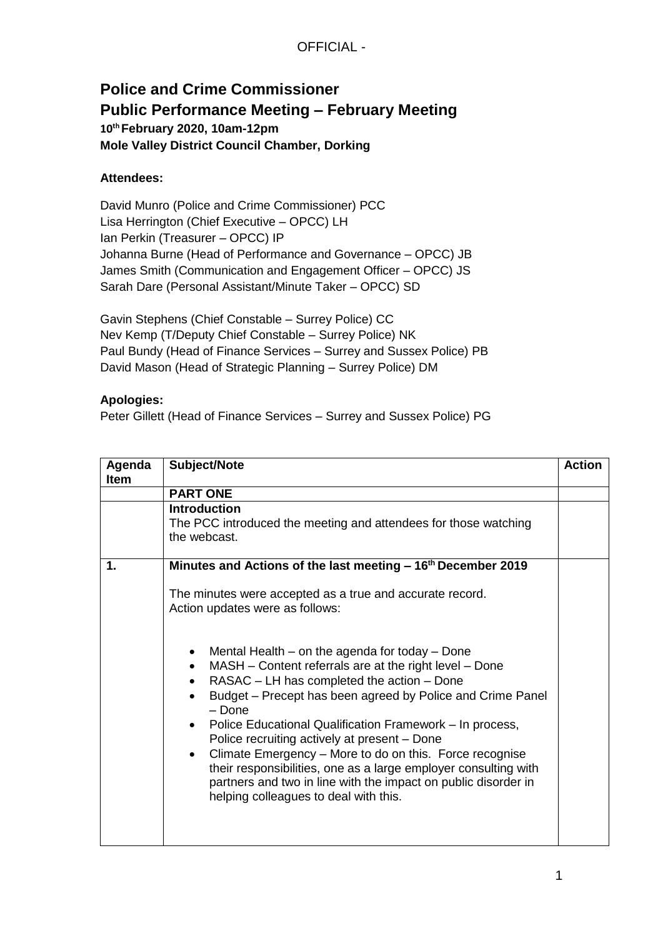## **Police and Crime Commissioner Public Performance Meeting – February Meeting 10th February 2020, 10am-12pm Mole Valley District Council Chamber, Dorking**

## **Attendees:**

David Munro (Police and Crime Commissioner) PCC Lisa Herrington (Chief Executive – OPCC) LH Ian Perkin (Treasurer – OPCC) IP Johanna Burne (Head of Performance and Governance – OPCC) JB James Smith (Communication and Engagement Officer – OPCC) JS Sarah Dare (Personal Assistant/Minute Taker – OPCC) SD

Gavin Stephens (Chief Constable – Surrey Police) CC Nev Kemp (T/Deputy Chief Constable – Surrey Police) NK Paul Bundy (Head of Finance Services – Surrey and Sussex Police) PB David Mason (Head of Strategic Planning – Surrey Police) DM

## **Apologies:**

Peter Gillett (Head of Finance Services – Surrey and Sussex Police) PG

| Agenda<br><b>Item</b> | Subject/Note                                                                                                                                                                                                                                                                                                                                                                                                                                                                                                                                                                                                    | <b>Action</b> |
|-----------------------|-----------------------------------------------------------------------------------------------------------------------------------------------------------------------------------------------------------------------------------------------------------------------------------------------------------------------------------------------------------------------------------------------------------------------------------------------------------------------------------------------------------------------------------------------------------------------------------------------------------------|---------------|
|                       | <b>PART ONE</b>                                                                                                                                                                                                                                                                                                                                                                                                                                                                                                                                                                                                 |               |
|                       | <b>Introduction</b><br>The PCC introduced the meeting and attendees for those watching<br>the webcast.                                                                                                                                                                                                                                                                                                                                                                                                                                                                                                          |               |
| $\mathbf 1$ .         | Minutes and Actions of the last meeting – 16 <sup>th</sup> December 2019                                                                                                                                                                                                                                                                                                                                                                                                                                                                                                                                        |               |
|                       | The minutes were accepted as a true and accurate record.<br>Action updates were as follows:                                                                                                                                                                                                                                                                                                                                                                                                                                                                                                                     |               |
|                       | Mental Health – on the agenda for today – Done<br>MASH – Content referrals are at the right level – Done<br>$\bullet$<br>RASAC – LH has completed the action – Done<br>Budget – Precept has been agreed by Police and Crime Panel<br>$-$ Done<br>Police Educational Qualification Framework - In process,<br>Police recruiting actively at present – Done<br>Climate Emergency - More to do on this. Force recognise<br>$\bullet$<br>their responsibilities, one as a large employer consulting with<br>partners and two in line with the impact on public disorder in<br>helping colleagues to deal with this. |               |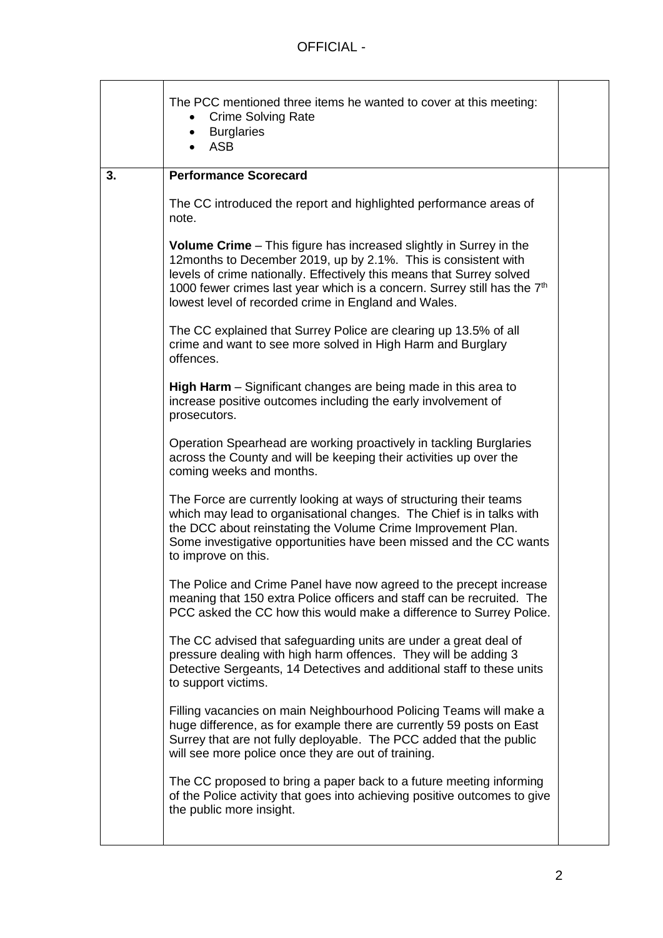|    | The PCC mentioned three items he wanted to cover at this meeting:<br><b>Crime Solving Rate</b><br><b>Burglaries</b><br>$\bullet$<br><b>ASB</b>                                                                                                                                                                                                                       |  |
|----|----------------------------------------------------------------------------------------------------------------------------------------------------------------------------------------------------------------------------------------------------------------------------------------------------------------------------------------------------------------------|--|
| 3. | <b>Performance Scorecard</b>                                                                                                                                                                                                                                                                                                                                         |  |
|    | The CC introduced the report and highlighted performance areas of<br>note.                                                                                                                                                                                                                                                                                           |  |
|    | <b>Volume Crime</b> – This figure has increased slightly in Surrey in the<br>12months to December 2019, up by 2.1%. This is consistent with<br>levels of crime nationally. Effectively this means that Surrey solved<br>1000 fewer crimes last year which is a concern. Surrey still has the 7 <sup>th</sup><br>lowest level of recorded crime in England and Wales. |  |
|    | The CC explained that Surrey Police are clearing up 13.5% of all<br>crime and want to see more solved in High Harm and Burglary<br>offences.                                                                                                                                                                                                                         |  |
|    | High Harm - Significant changes are being made in this area to<br>increase positive outcomes including the early involvement of<br>prosecutors.                                                                                                                                                                                                                      |  |
|    | Operation Spearhead are working proactively in tackling Burglaries<br>across the County and will be keeping their activities up over the<br>coming weeks and months.                                                                                                                                                                                                 |  |
|    | The Force are currently looking at ways of structuring their teams<br>which may lead to organisational changes. The Chief is in talks with<br>the DCC about reinstating the Volume Crime Improvement Plan.<br>Some investigative opportunities have been missed and the CC wants<br>to improve on this.                                                              |  |
|    | The Police and Crime Panel have now agreed to the precept increase<br>meaning that 150 extra Police officers and staff can be recruited. The<br>PCC asked the CC how this would make a difference to Surrey Police.                                                                                                                                                  |  |
|    | The CC advised that safeguarding units are under a great deal of<br>pressure dealing with high harm offences. They will be adding 3<br>Detective Sergeants, 14 Detectives and additional staff to these units<br>to support victims.                                                                                                                                 |  |
|    | Filling vacancies on main Neighbourhood Policing Teams will make a<br>huge difference, as for example there are currently 59 posts on East<br>Surrey that are not fully deployable. The PCC added that the public<br>will see more police once they are out of training.                                                                                             |  |
|    | The CC proposed to bring a paper back to a future meeting informing<br>of the Police activity that goes into achieving positive outcomes to give<br>the public more insight.                                                                                                                                                                                         |  |
|    |                                                                                                                                                                                                                                                                                                                                                                      |  |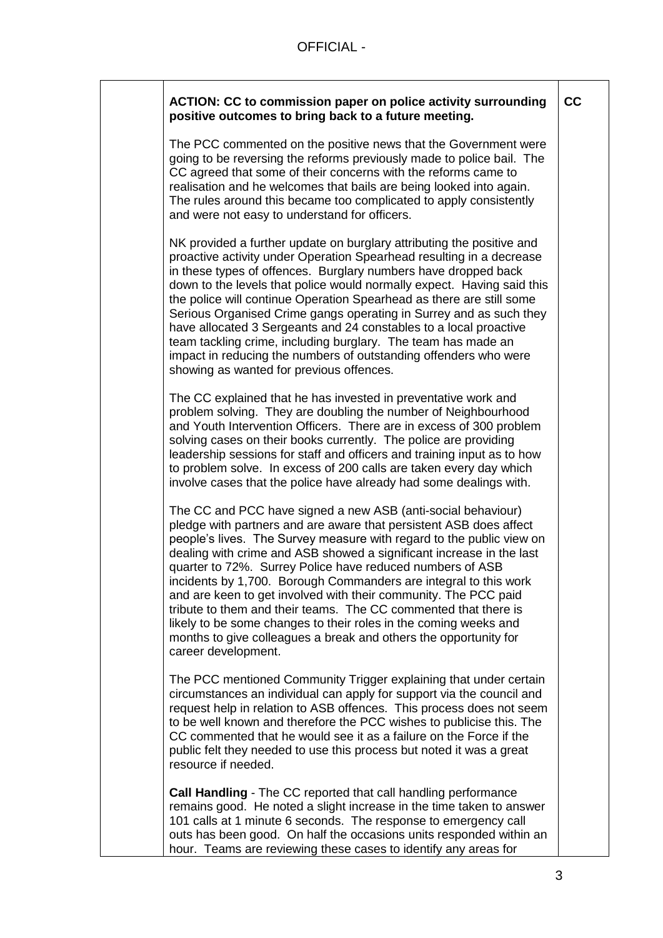| ACTION: CC to commission paper on police activity surrounding<br>positive outcomes to bring back to a future meeting.                                                                                                                                                                                                                                                                                                                                                                                                                                                                                                                                                                                                    | cc |
|--------------------------------------------------------------------------------------------------------------------------------------------------------------------------------------------------------------------------------------------------------------------------------------------------------------------------------------------------------------------------------------------------------------------------------------------------------------------------------------------------------------------------------------------------------------------------------------------------------------------------------------------------------------------------------------------------------------------------|----|
| The PCC commented on the positive news that the Government were<br>going to be reversing the reforms previously made to police bail. The<br>CC agreed that some of their concerns with the reforms came to<br>realisation and he welcomes that bails are being looked into again.<br>The rules around this became too complicated to apply consistently<br>and were not easy to understand for officers.                                                                                                                                                                                                                                                                                                                 |    |
| NK provided a further update on burglary attributing the positive and<br>proactive activity under Operation Spearhead resulting in a decrease<br>in these types of offences. Burglary numbers have dropped back<br>down to the levels that police would normally expect. Having said this<br>the police will continue Operation Spearhead as there are still some<br>Serious Organised Crime gangs operating in Surrey and as such they<br>have allocated 3 Sergeants and 24 constables to a local proactive<br>team tackling crime, including burglary. The team has made an<br>impact in reducing the numbers of outstanding offenders who were<br>showing as wanted for previous offences.                            |    |
| The CC explained that he has invested in preventative work and<br>problem solving. They are doubling the number of Neighbourhood<br>and Youth Intervention Officers. There are in excess of 300 problem<br>solving cases on their books currently. The police are providing<br>leadership sessions for staff and officers and training input as to how<br>to problem solve. In excess of 200 calls are taken every day which<br>involve cases that the police have already had some dealings with.                                                                                                                                                                                                                       |    |
| The CC and PCC have signed a new ASB (anti-social behaviour)<br>pledge with partners and are aware that persistent ASB does affect<br>people's lives. The Survey measure with regard to the public view on<br>dealing with crime and ASB showed a significant increase in the last<br>quarter to 72%. Surrey Police have reduced numbers of ASB<br>incidents by 1,700. Borough Commanders are integral to this work<br>and are keen to get involved with their community. The PCC paid<br>tribute to them and their teams. The CC commented that there is<br>likely to be some changes to their roles in the coming weeks and<br>months to give colleagues a break and others the opportunity for<br>career development. |    |
| The PCC mentioned Community Trigger explaining that under certain<br>circumstances an individual can apply for support via the council and<br>request help in relation to ASB offences. This process does not seem<br>to be well known and therefore the PCC wishes to publicise this. The<br>CC commented that he would see it as a failure on the Force if the<br>public felt they needed to use this process but noted it was a great<br>resource if needed.                                                                                                                                                                                                                                                          |    |
| Call Handling - The CC reported that call handling performance<br>remains good. He noted a slight increase in the time taken to answer<br>101 calls at 1 minute 6 seconds. The response to emergency call<br>outs has been good. On half the occasions units responded within an<br>hour. Teams are reviewing these cases to identify any areas for                                                                                                                                                                                                                                                                                                                                                                      |    |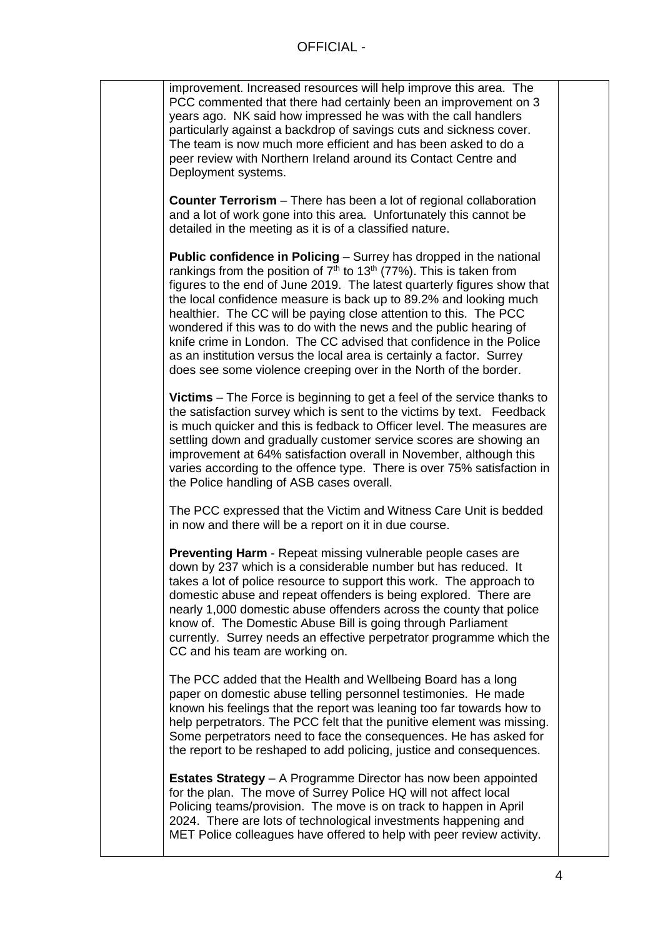improvement. Increased resources will help improve this area. The PCC commented that there had certainly been an improvement on 3 years ago. NK said how impressed he was with the call handlers particularly against a backdrop of savings cuts and sickness cover. The team is now much more efficient and has been asked to do a peer review with Northern Ireland around its Contact Centre and Deployment systems.

**Counter Terrorism** – There has been a lot of regional collaboration and a lot of work gone into this area. Unfortunately this cannot be detailed in the meeting as it is of a classified nature.

**Public confidence in Policing** – Surrey has dropped in the national rankings from the position of  $7<sup>th</sup>$  to 13<sup>th</sup> (77%). This is taken from figures to the end of June 2019. The latest quarterly figures show that the local confidence measure is back up to 89.2% and looking much healthier. The CC will be paying close attention to this. The PCC wondered if this was to do with the news and the public hearing of knife crime in London. The CC advised that confidence in the Police as an institution versus the local area is certainly a factor. Surrey does see some violence creeping over in the North of the border.

**Victims** – The Force is beginning to get a feel of the service thanks to the satisfaction survey which is sent to the victims by text. Feedback is much quicker and this is fedback to Officer level. The measures are settling down and gradually customer service scores are showing an improvement at 64% satisfaction overall in November, although this varies according to the offence type. There is over 75% satisfaction in the Police handling of ASB cases overall.

The PCC expressed that the Victim and Witness Care Unit is bedded in now and there will be a report on it in due course.

**Preventing Harm** - Repeat missing vulnerable people cases are down by 237 which is a considerable number but has reduced. It takes a lot of police resource to support this work. The approach to domestic abuse and repeat offenders is being explored. There are nearly 1,000 domestic abuse offenders across the county that police know of. The Domestic Abuse Bill is going through Parliament currently. Surrey needs an effective perpetrator programme which the CC and his team are working on.

The PCC added that the Health and Wellbeing Board has a long paper on domestic abuse telling personnel testimonies. He made known his feelings that the report was leaning too far towards how to help perpetrators. The PCC felt that the punitive element was missing. Some perpetrators need to face the consequences. He has asked for the report to be reshaped to add policing, justice and consequences.

**Estates Strategy** – A Programme Director has now been appointed for the plan. The move of Surrey Police HQ will not affect local Policing teams/provision. The move is on track to happen in April 2024. There are lots of technological investments happening and MET Police colleagues have offered to help with peer review activity.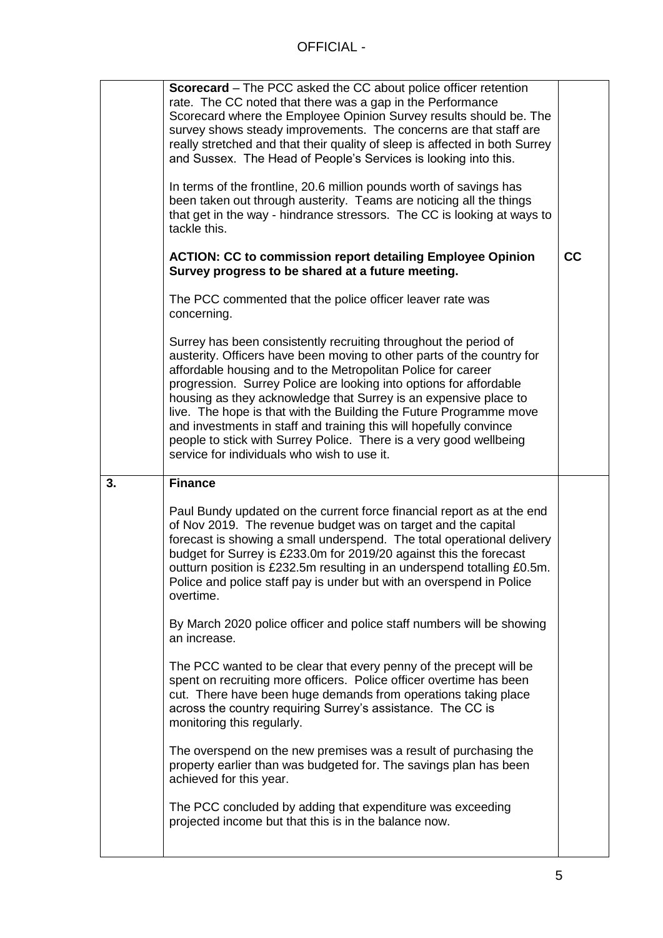|    | <b>Scorecard</b> – The PCC asked the CC about police officer retention<br>rate. The CC noted that there was a gap in the Performance<br>Scorecard where the Employee Opinion Survey results should be. The<br>survey shows steady improvements. The concerns are that staff are<br>really stretched and that their quality of sleep is affected in both Surrey<br>and Sussex. The Head of People's Services is looking into this.<br>In terms of the frontline, 20.6 million pounds worth of savings has<br>been taken out through austerity. Teams are noticing all the things<br>that get in the way - hindrance stressors. The CC is looking at ways to<br>tackle this.<br><b>ACTION: CC to commission report detailing Employee Opinion</b><br>Survey progress to be shared at a future meeting.<br>The PCC commented that the police officer leaver rate was<br>concerning.<br>Surrey has been consistently recruiting throughout the period of<br>austerity. Officers have been moving to other parts of the country for | cc |
|----|--------------------------------------------------------------------------------------------------------------------------------------------------------------------------------------------------------------------------------------------------------------------------------------------------------------------------------------------------------------------------------------------------------------------------------------------------------------------------------------------------------------------------------------------------------------------------------------------------------------------------------------------------------------------------------------------------------------------------------------------------------------------------------------------------------------------------------------------------------------------------------------------------------------------------------------------------------------------------------------------------------------------------------|----|
|    | affordable housing and to the Metropolitan Police for career<br>progression. Surrey Police are looking into options for affordable<br>housing as they acknowledge that Surrey is an expensive place to<br>live. The hope is that with the Building the Future Programme move<br>and investments in staff and training this will hopefully convince<br>people to stick with Surrey Police. There is a very good wellbeing<br>service for individuals who wish to use it.                                                                                                                                                                                                                                                                                                                                                                                                                                                                                                                                                        |    |
| 3. | <b>Finance</b>                                                                                                                                                                                                                                                                                                                                                                                                                                                                                                                                                                                                                                                                                                                                                                                                                                                                                                                                                                                                                 |    |
|    | Paul Bundy updated on the current force financial report as at the end<br>of Nov 2019. The revenue budget was on target and the capital<br>forecast is showing a small underspend. The total operational delivery<br>budget for Surrey is £233.0m for 2019/20 against this the forecast<br>outturn position is £232.5m resulting in an underspend totalling £0.5m.<br>Police and police staff pay is under but with an overspend in Police<br>overtime.                                                                                                                                                                                                                                                                                                                                                                                                                                                                                                                                                                        |    |
|    | By March 2020 police officer and police staff numbers will be showing<br>an increase.                                                                                                                                                                                                                                                                                                                                                                                                                                                                                                                                                                                                                                                                                                                                                                                                                                                                                                                                          |    |
|    | The PCC wanted to be clear that every penny of the precept will be<br>spent on recruiting more officers. Police officer overtime has been<br>cut. There have been huge demands from operations taking place<br>across the country requiring Surrey's assistance. The CC is<br>monitoring this regularly.                                                                                                                                                                                                                                                                                                                                                                                                                                                                                                                                                                                                                                                                                                                       |    |
|    | The overspend on the new premises was a result of purchasing the<br>property earlier than was budgeted for. The savings plan has been<br>achieved for this year.                                                                                                                                                                                                                                                                                                                                                                                                                                                                                                                                                                                                                                                                                                                                                                                                                                                               |    |
|    | The PCC concluded by adding that expenditure was exceeding<br>projected income but that this is in the balance now.                                                                                                                                                                                                                                                                                                                                                                                                                                                                                                                                                                                                                                                                                                                                                                                                                                                                                                            |    |
|    |                                                                                                                                                                                                                                                                                                                                                                                                                                                                                                                                                                                                                                                                                                                                                                                                                                                                                                                                                                                                                                |    |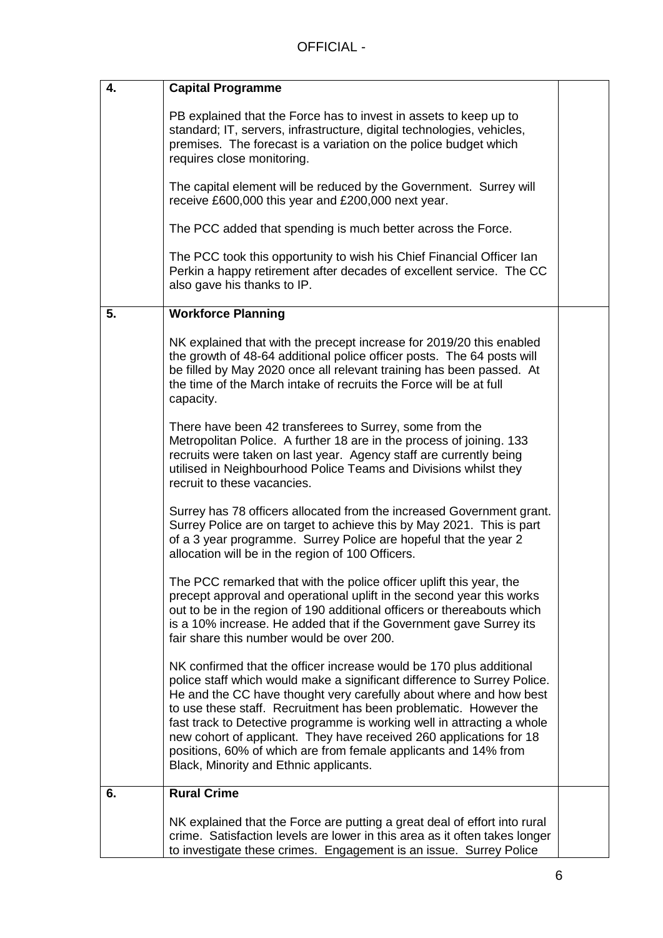| 4. | <b>Capital Programme</b>                                                                                                                                                                                                                                                                                                                                                                                                                                                                                                                                  |  |
|----|-----------------------------------------------------------------------------------------------------------------------------------------------------------------------------------------------------------------------------------------------------------------------------------------------------------------------------------------------------------------------------------------------------------------------------------------------------------------------------------------------------------------------------------------------------------|--|
|    | PB explained that the Force has to invest in assets to keep up to<br>standard; IT, servers, infrastructure, digital technologies, vehicles,<br>premises. The forecast is a variation on the police budget which<br>requires close monitoring.                                                                                                                                                                                                                                                                                                             |  |
|    | The capital element will be reduced by the Government. Surrey will<br>receive £600,000 this year and £200,000 next year.                                                                                                                                                                                                                                                                                                                                                                                                                                  |  |
|    | The PCC added that spending is much better across the Force.                                                                                                                                                                                                                                                                                                                                                                                                                                                                                              |  |
|    | The PCC took this opportunity to wish his Chief Financial Officer lan<br>Perkin a happy retirement after decades of excellent service. The CC<br>also gave his thanks to IP.                                                                                                                                                                                                                                                                                                                                                                              |  |
| 5. | <b>Workforce Planning</b>                                                                                                                                                                                                                                                                                                                                                                                                                                                                                                                                 |  |
|    | NK explained that with the precept increase for 2019/20 this enabled<br>the growth of 48-64 additional police officer posts. The 64 posts will<br>be filled by May 2020 once all relevant training has been passed. At<br>the time of the March intake of recruits the Force will be at full<br>capacity.                                                                                                                                                                                                                                                 |  |
|    | There have been 42 transferees to Surrey, some from the<br>Metropolitan Police. A further 18 are in the process of joining. 133<br>recruits were taken on last year. Agency staff are currently being<br>utilised in Neighbourhood Police Teams and Divisions whilst they<br>recruit to these vacancies.                                                                                                                                                                                                                                                  |  |
|    | Surrey has 78 officers allocated from the increased Government grant.<br>Surrey Police are on target to achieve this by May 2021. This is part<br>of a 3 year programme. Surrey Police are hopeful that the year 2<br>allocation will be in the region of 100 Officers.                                                                                                                                                                                                                                                                                   |  |
|    | The PCC remarked that with the police officer uplift this year, the<br>precept approval and operational uplift in the second year this works<br>out to be in the region of 190 additional officers or thereabouts which<br>is a 10% increase. He added that if the Government gave Surrey its<br>fair share this number would be over 200.                                                                                                                                                                                                                |  |
|    | NK confirmed that the officer increase would be 170 plus additional<br>police staff which would make a significant difference to Surrey Police.<br>He and the CC have thought very carefully about where and how best<br>to use these staff. Recruitment has been problematic. However the<br>fast track to Detective programme is working well in attracting a whole<br>new cohort of applicant. They have received 260 applications for 18<br>positions, 60% of which are from female applicants and 14% from<br>Black, Minority and Ethnic applicants. |  |
| 6. | <b>Rural Crime</b>                                                                                                                                                                                                                                                                                                                                                                                                                                                                                                                                        |  |
|    | NK explained that the Force are putting a great deal of effort into rural<br>crime. Satisfaction levels are lower in this area as it often takes longer<br>to investigate these crimes. Engagement is an issue. Surrey Police                                                                                                                                                                                                                                                                                                                             |  |